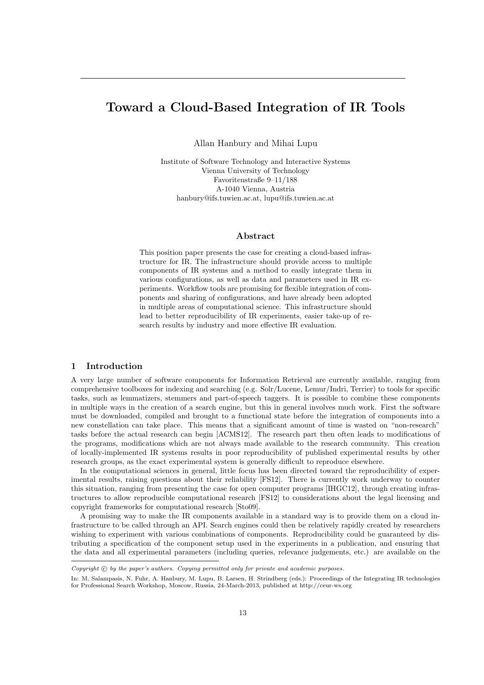# Toward a Cloud-Based Integration of IR Tools

Allan Hanbury and Mihai Lupu

Institute of Software Technology and Interactive Systems Vienna University of Technology Favoritenstraße 9–11/188 A-1040 Vienna, Austria hanbury@ifs.tuwien.ac.at, lupu@ifs.tuwien.ac.at

## Abstract

This position paper presents the case for creating a cloud-based infrastructure for IR. The infrastructure should provide access to multiple components of IR systems and a method to easily integrate them in various configurations, as well as data and parameters used in IR experiments. Workflow tools are promising for flexible integration of components and sharing of configurations, and have already been adopted in multiple areas of computational science. This infrastructure should lead to better reproducibility of IR experiments, easier take-up of research results by industry and more effective IR evaluation.

# 1 Introduction

A very large number of software components for Information Retrieval are currently available, ranging from comprehensive toolboxes for indexing and searching (e.g. Solr/Lucene, Lemur/Indri, Terrier) to tools for specific tasks, such as lemmatizers, stemmers and part-of-speech taggers. It is possible to combine these components in multiple ways in the creation of a search engine, but this in general involves much work. First the software must be downloaded, compiled and brought to a functional state before the integration of components into a new constellation can take place. This means that a significant amount of time is wasted on "non-research" tasks before the actual research can begin [ACMS12]. The research part then often leads to modifications of the programs, modifications which are not always made available to the research community. This creation of locally-implemented IR systems results in poor reproducibility of published experimental results by other research groups, as the exact experimental system is generally difficult to reproduce elsewhere.

In the computational sciences in general, little focus has been directed toward the reproducibility of experimental results, raising questions about their reliability [FS12]. There is currently work underway to counter this situation, ranging from presenting the case for open computer programs [IHGC12], through creating infrastructures to allow reproducible computational research [FS12] to considerations about the legal licensing and copyright frameworks for computational research [Sto09].

A promising way to make the IR components available in a standard way is to provide them on a cloud infrastructure to be called through an API. Search engines could then be relatively rapidly created by researchers wishing to experiment with various combinations of components. Reproducibility could be guaranteed by distributing a specification of the component setup used in the experiments in a publication, and ensuring that the data and all experimental parameters (including queries, relevance judgements, etc.) are available on the

Copyright  $\odot$  by the paper's authors. Copying permitted only for private and academic purposes.

In: M. Salampasis, N. Fuhr, A. Hanbury, M. Lupu, B. Larsen, H. Strindberg (eds.): Proceedings of the Integrating IR technologies for Professional Search Workshop, Moscow, Russia, 24-March-2013, published at http://ceur-ws.org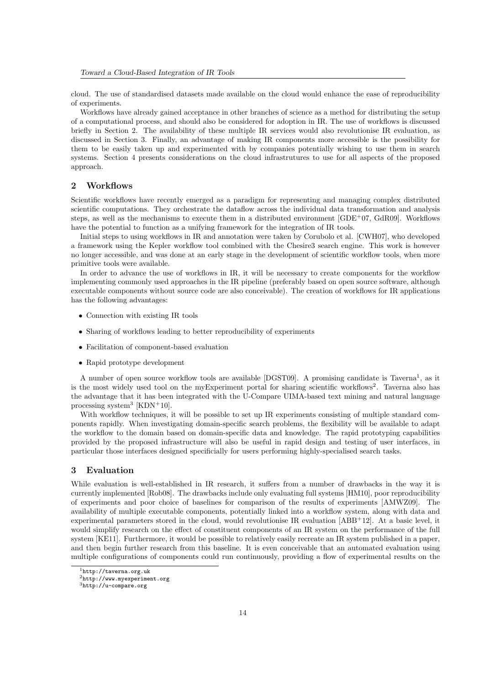cloud. The use of standardised datasets made available on the cloud would enhance the ease of reproducibility of experiments.

Workflows have already gained acceptance in other branches of science as a method for distributing the setup of a computational process, and should also be considered for adoption in IR. The use of workflows is discussed briefly in Section 2. The availability of these multiple IR services would also revolutionise IR evaluation, as discussed in Section 3. Finally, an advantage of making IR components more accessible is the possibility for them to be easily taken up and experimented with by companies potentially wishing to use them in search systems. Section 4 presents considerations on the cloud infrastrutures to use for all aspects of the proposed approach.

### 2 Workflows

Scientific workflows have recently emerged as a paradigm for representing and managing complex distributed scientific computations. They orchestrate the dataflow across the individual data transformation and analysis steps, as well as the mechanisms to execute them in a distributed environment  $[GDE^{+0}7, GdR09]$ . Workflows have the potential to function as a unifying framework for the integration of IR tools.

Initial steps to using workflows in IR and annotation were taken by Corubolo et al. [CWH07], who developed a framework using the Kepler workflow tool combined with the Chesire3 search engine. This work is however no longer accessible, and was done at an early stage in the development of scientific workflow tools, when more primitive tools were available.

In order to advance the use of workflows in IR, it will be necessary to create components for the workflow implementing commonly used approaches in the IR pipeline (preferably based on open source software, although executable components without source code are also conceivable). The creation of workflows for IR applications has the following advantages:

- Connection with existing IR tools
- Sharing of workflows leading to better reproducibility of experiments
- Facilitation of component-based evaluation
- Rapid prototype development

A number of open source workflow tools are available [DGST09]. A promising candidate is Taverna<sup>1</sup>, as it is the most widely used tool on the myExperiment portal for sharing scientific workflows<sup>2</sup>. Taverna also has the advantage that it has been integrated with the U-Compare UIMA-based text mining and natural language processing system<sup>3</sup> [KDN+10].

With workflow techniques, it will be possible to set up IR experiments consisting of multiple standard components rapidly. When investigating domain-specific search problems, the flexibility will be available to adapt the workflow to the domain based on domain-specific data and knowledge. The rapid prototyping capabilities provided by the proposed infrastructure will also be useful in rapid design and testing of user interfaces, in particular those interfaces designed specificially for users performing highly-specialised search tasks.

# 3 Evaluation

While evaluation is well-established in IR research, it suffers from a number of drawbacks in the way it is currently implemented [Rob08]. The drawbacks include only evaluating full systems [HM10], poor reproducibility of experiments and poor choice of baselines for comparison of the results of experiments [AMWZ09]. The availability of multiple executable components, potentially linked into a workflow system, along with data and experimental parameters stored in the cloud, would revolutionise IR evaluation [ABB<sup>+</sup>12]. At a basic level, it would simplify research on the effect of constituent components of an IR system on the performance of the full system [KE11]. Furthermore, it would be possible to relatively easily recreate an IR system published in a paper, and then begin further research from this baseline. It is even conceivable that an automated evaluation using multiple configurations of components could run continuously, providing a flow of experimental results on the

 $1$ http://taverna.org.uk

<sup>2</sup>http://www.myexperiment.org

<sup>3</sup>http://u-compare.org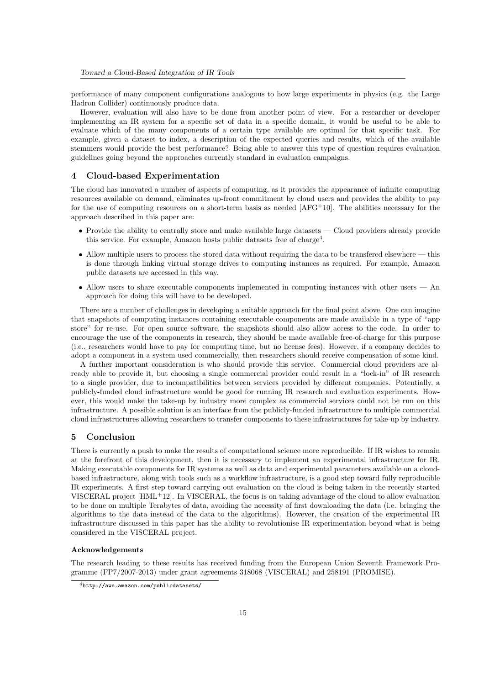performance of many component configurations analogous to how large experiments in physics (e.g. the Large Hadron Collider) continuously produce data.

However, evaluation will also have to be done from another point of view. For a researcher or developer implementing an IR system for a specific set of data in a specific domain, it would be useful to be able to evaluate which of the many components of a certain type available are optimal for that specific task. For example, given a dataset to index, a description of the expected queries and results, which of the available stemmers would provide the best performance? Being able to answer this type of question requires evaluation guidelines going beyond the approaches currently standard in evaluation campaigns.

# 4 Cloud-based Experimentation

The cloud has innovated a number of aspects of computing, as it provides the appearance of infinite computing resources available on demand, eliminates up-front commitment by cloud users and provides the ability to pay for the use of computing resources on a short-term basis as needed [AFG<sup>+</sup>10]. The abilities necessary for the approach described in this paper are:

- Provide the ability to centrally store and make available large datasets Cloud providers already provide this service. For example, Amazon hosts public datasets free of charge<sup>4</sup>.
- Allow multiple users to process the stored data without requiring the data to be transfered elsewhere this is done through linking virtual storage drives to computing instances as required. For example, Amazon public datasets are accessed in this way.
- Allow users to share executable components implemented in computing instances with other users An approach for doing this will have to be developed.

There are a number of challenges in developing a suitable approach for the final point above. One can imagine that snapshots of computing instances containing executable components are made available in a type of "app store" for re-use. For open source software, the snapshots should also allow access to the code. In order to encourage the use of the components in research, they should be made available free-of-charge for this purpose (i.e., researchers would have to pay for computing time, but no license fees). However, if a company decides to adopt a component in a system used commercially, then researchers should receive compensation of some kind.

A further important consideration is who should provide this service. Commercial cloud providers are already able to provide it, but choosing a single commercial provider could result in a "lock-in" of IR research to a single provider, due to incompatibilities between services provided by different companies. Potentially, a publicly-funded cloud infrastructure would be good for running IR research and evaluation experiments. However, this would make the take-up by industry more complex as commercial services could not be run on this infrastructure. A possible solution is an interface from the publicly-funded infrastructure to multiple commercial cloud infrastructures allowing researchers to transfer components to these infrastructures for take-up by industry.

#### 5 Conclusion

There is currently a push to make the results of computational science more reproducible. If IR wishes to remain at the forefront of this development, then it is necessary to implement an experimental infrastructure for IR. Making executable components for IR systems as well as data and experimental parameters available on a cloudbased infrastructure, along with tools such as a workflow infrastructure, is a good step toward fully reproducible IR experiments. A first step toward carrying out evaluation on the cloud is being taken in the recently started VISCERAL project [HML<sup>+</sup>12]. In VISCERAL, the focus is on taking advantage of the cloud to allow evaluation to be done on multiple Terabytes of data, avoiding the necessity of first downloading the data (i.e. bringing the algorithms to the data instead of the data to the algorithms). However, the creation of the experimental IR infrastructure discussed in this paper has the ability to revolutionise IR experimentation beyond what is being considered in the VISCERAL project.

#### Acknowledgements

The research leading to these results has received funding from the European Union Seventh Framework Programme (FP7/2007-2013) under grant agreements 318068 (VISCERAL) and 258191 (PROMISE).

<sup>4</sup>http://aws.amazon.com/publicdatasets/